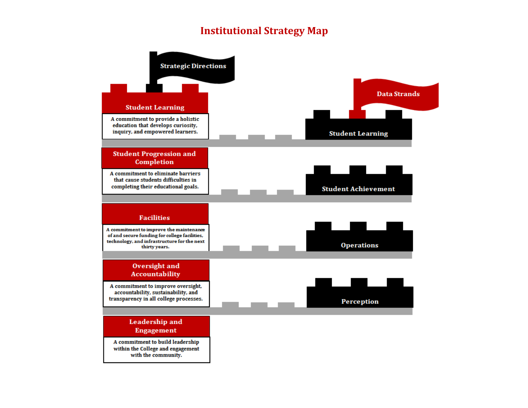## **Institutional Strategy Map**

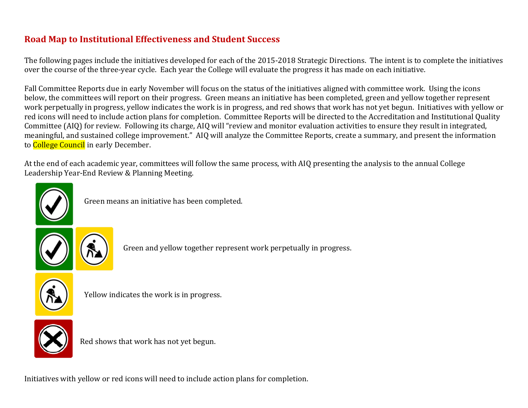## **Road Map to Institutional Effectiveness and Student Success**

The following pages include the initiatives developed for each of the 2015-2018 Strategic Directions. The intent is to complete the initiatives over the course of the three-year cycle. Each year the College will evaluate the progress it has made on each initiative.

Fall Committee Reports due in early November will focus on the status of the initiatives aligned with committee work. Using the icons below, the committees will report on their progress. Green means an initiative has been completed, green and yellow together represent work perpetually in progress, yellow indicates the work is in progress, and red shows that work has not yet begun. Initiatives with yellow or red icons will need to include action plans for completion. Committee Reports will be directed to the Accreditation and Institutional Quality Committee (AIQ) for review. Following its charge, AIQ will "review and monitor evaluation activities to ensure they result in integrated, meaningful, and sustained college improvement." AIQ will analyze the Committee Reports, create a summary, and present the information to **College Council** in early December.

At the end of each academic year, committees will follow the same process, with AIQ presenting the analysis to the annual College Leadership Year-End Review & Planning Meeting.



Green means an initiative has been completed.



Green and yellow together represent work perpetually in progress.



Yellow indicates the work is in progress.



Red shows that work has not yet begun.

Initiatives with yellow or red icons will need to include action plans for completion.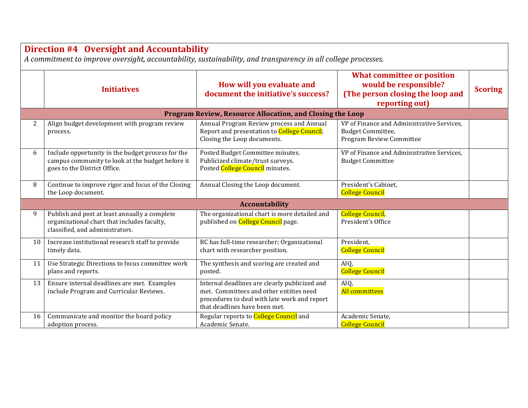## **Direction #4 Oversight and Accountability**

*A commitment to improve oversight, accountability, sustainability, and transparency in all college processes.*

|                       | <b>Initiatives</b>                                                                                                                    | How will you evaluate and<br>document the initiative's success?                                                                                                           | <b>What committee or position</b><br>would be responsible?<br>(The person closing the loop and<br>reporting out) | <b>Scoring</b> |  |  |  |  |
|-----------------------|---------------------------------------------------------------------------------------------------------------------------------------|---------------------------------------------------------------------------------------------------------------------------------------------------------------------------|------------------------------------------------------------------------------------------------------------------|----------------|--|--|--|--|
|                       | Program Review, Resource Allocation, and Closing the Loop                                                                             |                                                                                                                                                                           |                                                                                                                  |                |  |  |  |  |
| 2                     | Align budget development with program review<br>process.                                                                              | Annual Program Review process and Annual<br>Report and presentation to College Council;<br>Closing the Loop documents.                                                    | VP of Finance and Administrative Services,<br><b>Budget Committee,</b><br>Program Review Committee               |                |  |  |  |  |
| 6                     | Include opportunity in the budget process for the<br>campus community to look at the budget before it<br>goes to the District Office. | Posted Budget Committee minutes.<br>Publicized climate/trust surveys.<br>Posted College Council minutes.                                                                  | VP of Finance and Administrative Services,<br><b>Budget Committee</b>                                            |                |  |  |  |  |
| 8                     | Continue to improve rigor and focus of the Closing<br>the Loop document.                                                              | Annual Closing the Loop document.                                                                                                                                         | President's Cabinet,<br><b>College Council</b>                                                                   |                |  |  |  |  |
| <b>Accountability</b> |                                                                                                                                       |                                                                                                                                                                           |                                                                                                                  |                |  |  |  |  |
| 9                     | Publish and post at least annually a complete<br>organizational chart that includes faculty,<br>classified, and administrators.       | The organizational chart is more detailed and<br>published on <b>College Council</b> page.                                                                                | <b>College Council</b> ,<br>President's Office                                                                   |                |  |  |  |  |
| 10                    | Increase institutional research staff to provide<br>timely data.                                                                      | BC has full-time researcher; Organizational<br>chart with researcher position.                                                                                            | President,<br><b>College Council</b>                                                                             |                |  |  |  |  |
| 11                    | Use Strategic Directions to focus committee work<br>plans and reports.                                                                | The synthesis and scoring are created and<br>posted.                                                                                                                      | AIQ,<br><b>College Council</b>                                                                                   |                |  |  |  |  |
| 13                    | Ensure internal deadlines are met. Examples<br>include Program and Curricular Reviews.                                                | Internal deadlines are clearly publicized and<br>met. Committees and other entities need<br>procedures to deal with late work and report<br>that deadlines have been met. | AIQ,<br>All committees                                                                                           |                |  |  |  |  |
| 16                    | Communicate and monitor the board policy<br>adoption process.                                                                         | Regular reports to College Council and<br>Academic Senate.                                                                                                                | Academic Senate,<br><b>College Council</b>                                                                       |                |  |  |  |  |